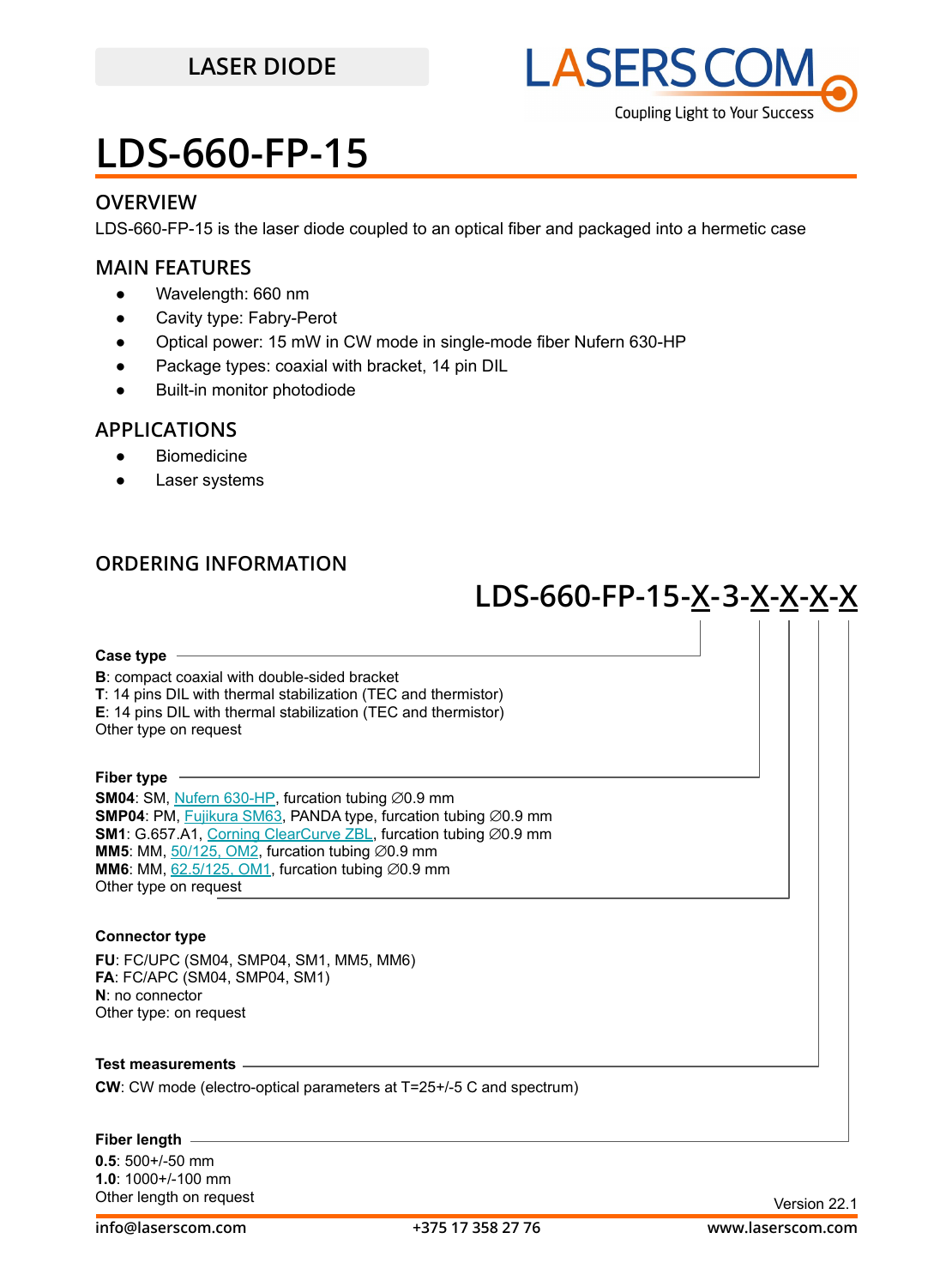

### **OVERVIEW**

LDS-660-FP-15 is the laser diode coupled to an optical fiber and packaged into a hermetic case

### **MAIN FEATURES**

- Wavelength: 660 nm
- Cavity type: Fabry-Perot
- Optical power: 15 mW in CW mode in single-mode fiber Nufern 630-HP
- Package types: coaxial with bracket, 14 pin DIL
- **Built-in monitor photodiode**

### **APPLICATIONS**

- Biomedicine
- Laser systems

### **ORDERING INFORMATION**

## **LDS-660-FP-15 -X-3-X-X-X-X**

#### **Case type**

**B**: compact coaxial with double-sided bracket **T**: 14 pins DIL with thermal stabilization (TEC and thermistor) **E**: 14 pins DIL with thermal stabilization (TEC and thermistor) Other type on request

**Fiber type**

**SM04**: SM, [Nufern 630-HP,](https://drive.google.com/file/d/12j5dGqxbssZEcfLVHgwBzsAFk-iMW5Xv/view?usp=sharing) furcation tubing ∅0.9 mm **SMP04**: PM, [Fujikura SM63,](https://drive.google.com/file/d/1dCMTXQjFu8DDh8mAv9fO-URwBNrg9t2w/view?usp=sharing) PANDA type, furcation tubing ∅0.9 mm **SM1**: G.657.A1, [Corning ClearCurve ZBL,](https://drive.google.com/file/d/1BnScs4F0ApGayHF4MQJvm8phLaEPHUV0/view?usp=sharing) furcation tubing ∅0.9 mm **MM5**: MM,  $50/125$ , OM2, furcation tubing  $\emptyset$ 0.9 mm **MM6**: MM,  $62.5/125$ , OM1, furcation tubing  $\varnothing$ 0.9 mm Other type on request

### **Connector type**

**FU**: FC/UPC (SM04, SMP04, SM1, MM5, MM6) **FA**: FC/APC (SM04, SMP04, SM1) **N**: no connector Other type: on request

**Test measurements**

**CW**: CW mode (electro-optical parameters at T=25+/-5 C and spectrum)

#### **Fiber length**

**0.5**: 500+/-50 mm **1.0**: 1000+/-100 mm Other length on request **Version 22.1**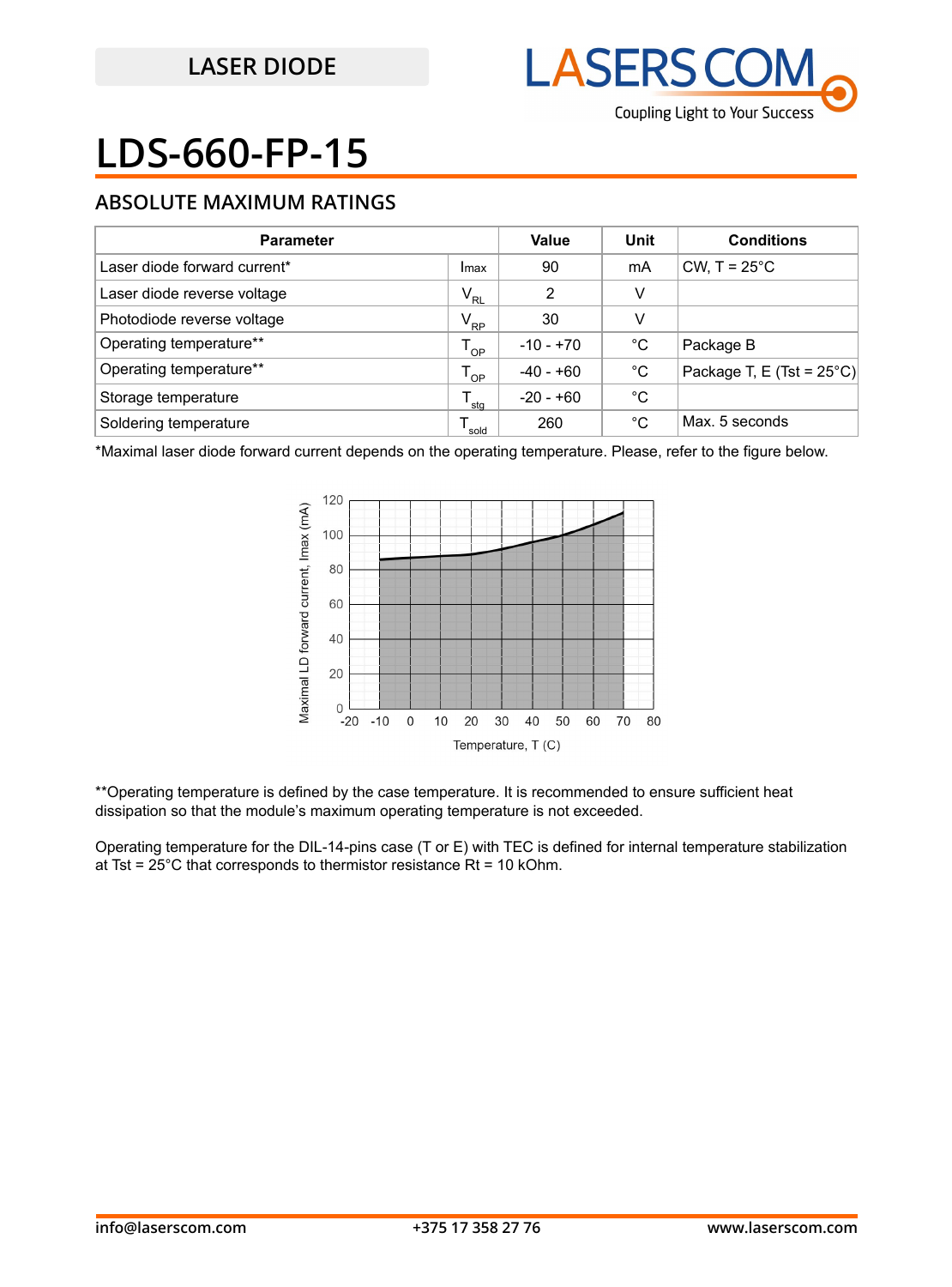

## **ABSOLUTE MAXIMUM RATINGS**

| <b>Parameter</b>             |                            | Value       | Unit | <b>Conditions</b>                   |
|------------------------------|----------------------------|-------------|------|-------------------------------------|
| Laser diode forward current* | Imax                       | 90          | mA   | CW, $T = 25^{\circ}$ C              |
| Laser diode reverse voltage  | $\mathsf{V}_{\mathsf{RL}}$ | 2           | v    |                                     |
| Photodiode reverse voltage   | $V_{\rm RP}$               | 30          | v    |                                     |
| Operating temperature**      | $T_{OP}$                   | $-10 - +70$ | °C   | Package B                           |
| Operating temperature**      | $T_{OP}$                   | $-40 - +60$ | °C   | Package T, E (Tst = $25^{\circ}$ C) |
| Storage temperature          | sta                        | -20 - +60   | °C   |                                     |
| Soldering temperature        | sold                       | 260         | °C   | Max. 5 seconds                      |

\*Maximal laser diode forward current depends on the operating temperature. Please, refer to the figure below.



\*\*Operating temperature is defined by the case temperature. It is recommended to ensure sufficient heat dissipation so that the module's maximum operating temperature is not exceeded.

Operating temperature for the DIL-14-pins case (T or E) with TEC is defined for internal temperature stabilization at Tst =  $25^{\circ}$ C that corresponds to thermistor resistance Rt = 10 kOhm.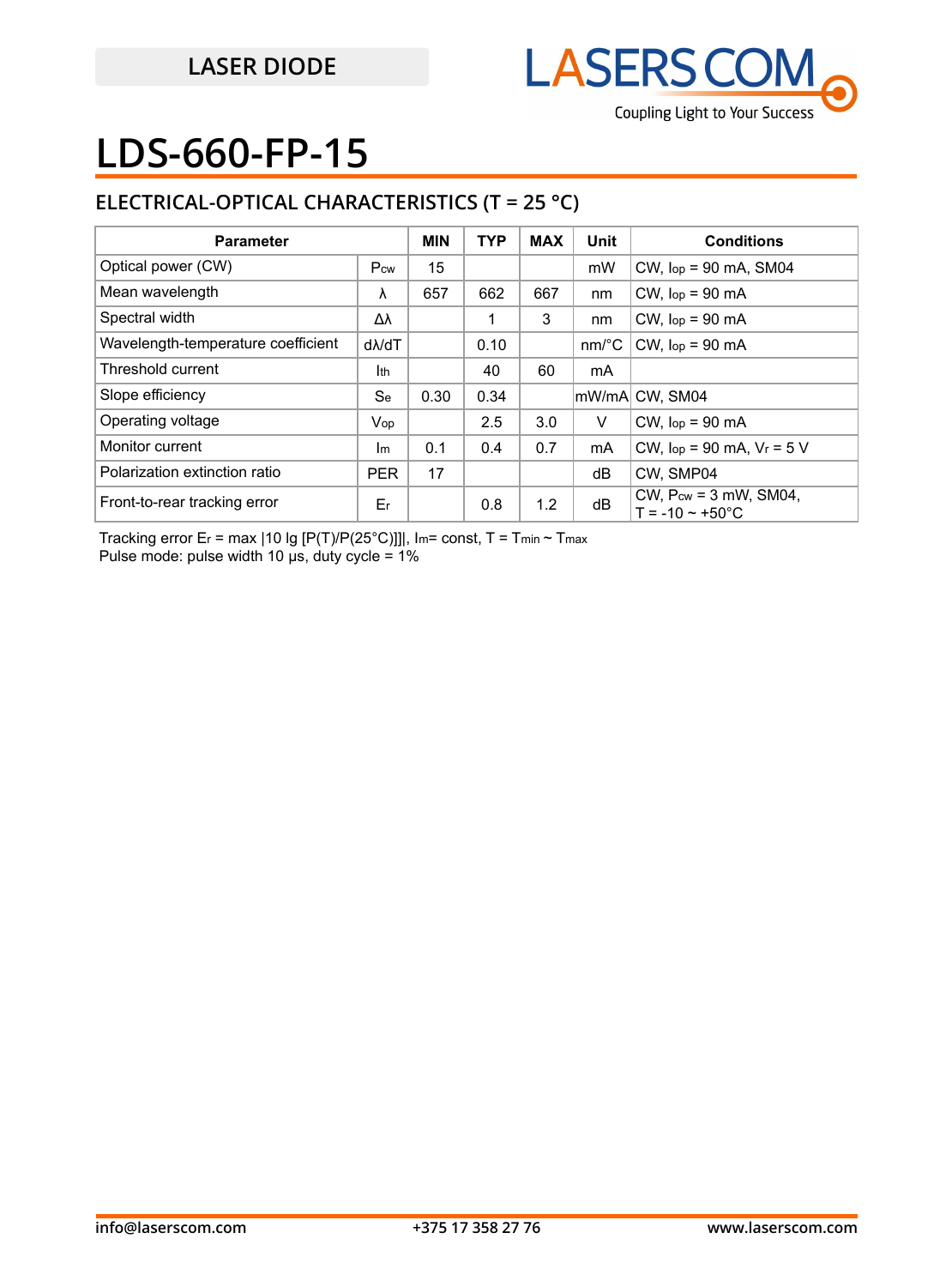

## **ELECTRICAL-OPTICAL CHARACTERISTICS (T = 25 °C)**

| <b>Parameter</b>                   |               | <b>MIN</b> | <b>TYP</b> | <b>MAX</b> | Unit                  | <b>Conditions</b>                                             |
|------------------------------------|---------------|------------|------------|------------|-----------------------|---------------------------------------------------------------|
| Optical power (CW)                 | Pcw           | 15         |            |            | mW                    | $CW$ , $lop = 90$ mA, SM04                                    |
| Mean wavelength                    | λ             | 657        | 662        | 667        | nm                    | $CW$ , $lop = 90$ mA                                          |
| Spectral width                     | Δλ            |            |            | 3          | nm                    | $CW$ , $lop = 90$ mA                                          |
| Wavelength-temperature coefficient | $d\lambda/dT$ |            | 0.10       |            | $nm$ <sup>o</sup> $C$ | $CW$ , $lop = 90$ mA                                          |
| Threshold current                  | Ith           |            | 40         | 60         | mA                    |                                                               |
| Slope efficiency                   | <b>Se</b>     | 0.30       | 0.34       |            |                       | mW/mA CW, SM04                                                |
| Operating voltage                  | Vop           |            | 2.5        | 3.0        | V                     | $CW$ , $lop = 90$ mA                                          |
| Monitor current                    | $\mathsf{Im}$ | 0.1        | 0.4        | 0.7        | mA                    | CW, $lop = 90$ mA, $V_r = 5$ V                                |
| Polarization extinction ratio      | <b>PER</b>    | 17         |            |            | dB                    | CW. SMP04                                                     |
| Front-to-rear tracking error       | Er            |            | 0.8        | 1.2        | dB                    | CW, $P_{cw} = 3$ mW, SM04,<br>$T = -10 \approx +50^{\circ}$ C |

Tracking error Er = max | 10 lg [P(T)/P(25°C)]]|, Im= const, T = Tmin ~ Tmax Pulse mode: pulse width 10 μs, duty cycle = 1%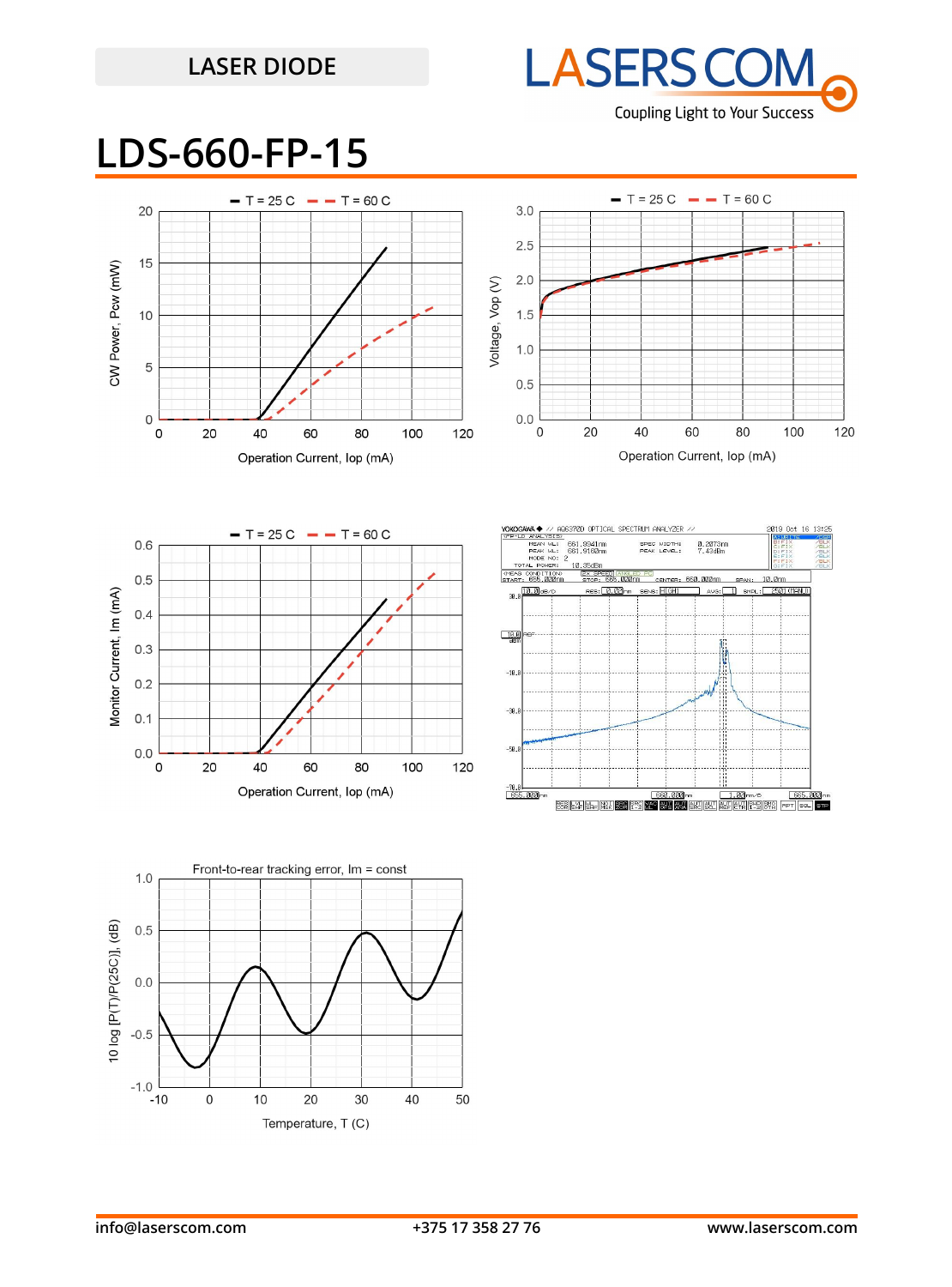## **LASER DIODE**



**LDS-660-FP-15**



 $\pmb{0}$ 

 $10$ 

20

Temperature, T (C)

30

40

 $-0.5$ 

 $-1.0$  $-10$ 

50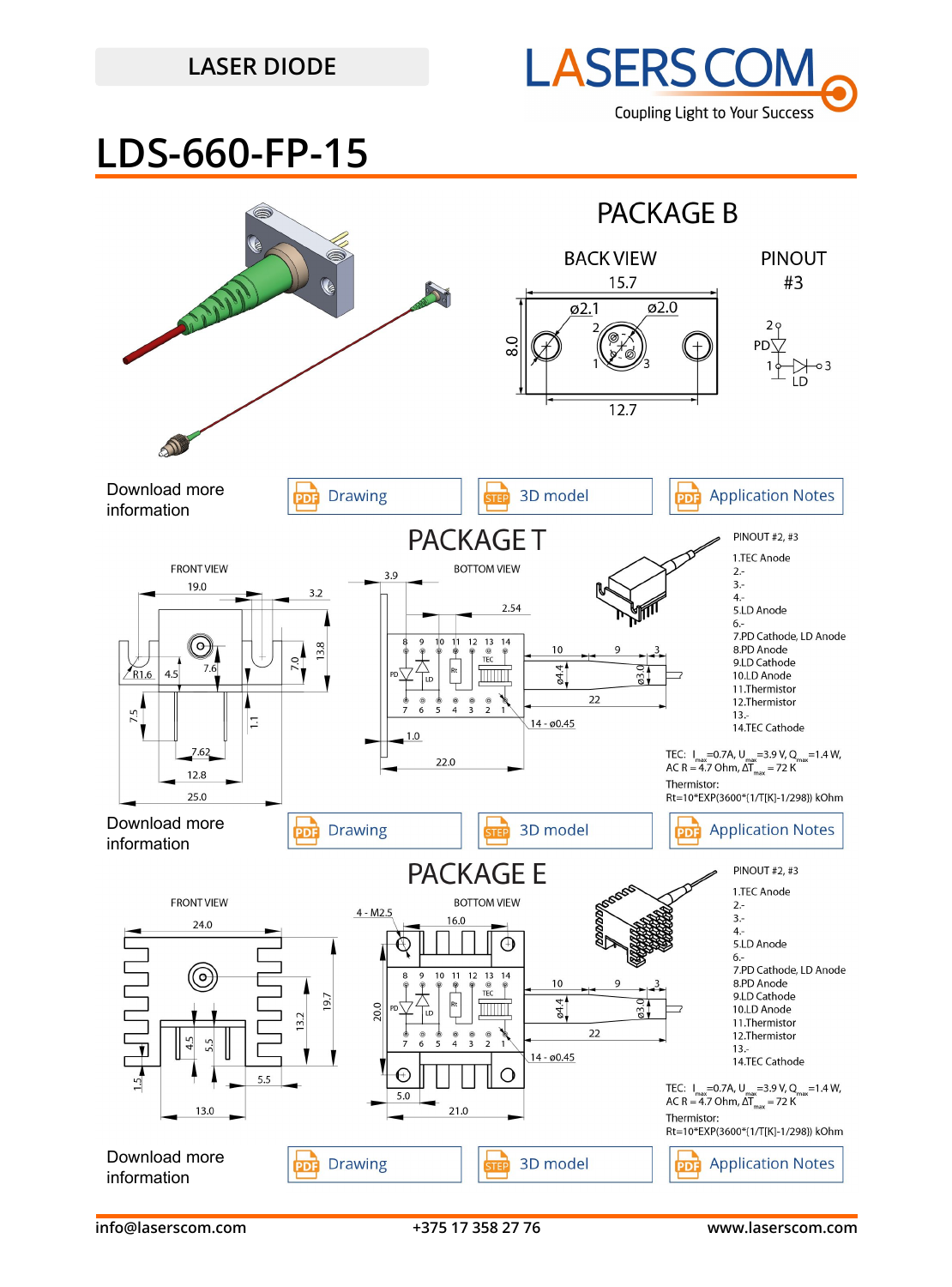## **LASER DIODE**



## **LDS-660-FP-15**